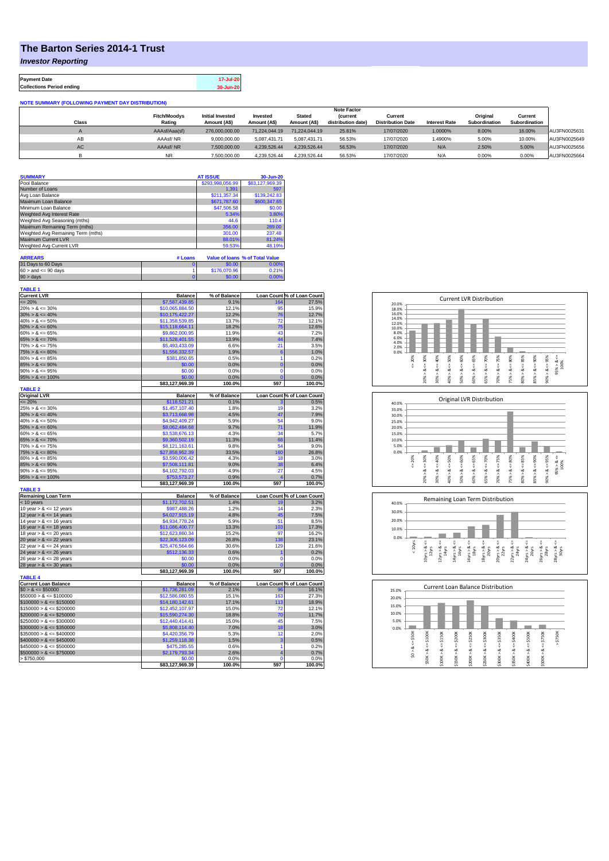## **The Barton Series 2014-1 Trust**

*Investor Reporting*

**Payment Date 17-Jul-20 Collections Period ending 30-Jun-20**

| <b>NOTE SUMMARY (FOLLOWING PAYMENT DAY DISTRIBUTION)</b> |                     |                         |               |               |                    |                          |                      |               |               |              |
|----------------------------------------------------------|---------------------|-------------------------|---------------|---------------|--------------------|--------------------------|----------------------|---------------|---------------|--------------|
|                                                          |                     |                         |               |               | <b>Note Factor</b> |                          |                      |               |               |              |
|                                                          | <b>Fitch/Moodys</b> | <b>Initial Invested</b> | Invested      | <b>Stated</b> | <b>(current</b>    | Current                  |                      | Original      | Current       |              |
| <b>Class</b>                                             | Rating              | Amount (A\$)            | Amount (A\$)  | Amount (A\$)  | distribution date) | <b>Distribution Date</b> | <b>Interest Rate</b> | Subordination | Subordination |              |
|                                                          | AAAsf/Aaa(sf)       | 276,000,000,00          | 71.224.044.19 | 71.224.044.19 | 25.81%             | 17/07/2020               | 1.0000%              | 8.00%         | 16.00%        | AU3FN0025631 |
| AB                                                       | AAAsf/NR            | 9.000.000.00            | 5.087.431.71  | 5.087.431.71  | 56.53%             | 17/07/2020               | .4900%               | 5.00%         | 10.00%        | AU3FN0025649 |
| AC                                                       | AAAsf/NR            | 7,500,000.00            | 4.239.526.44  | 4.239.526.44  | 56.53%             | 17/07/2020               | N/A                  | 2.50%         | 5.00%         | AU3FN0025656 |
|                                                          | NR.                 | 7.500.000.00            | 4.239.526.44  | 4.239.526.44  | 56.53%             | 17/07/2020               | N/A                  | 0.00%         | 0.00%         | AU3FN0025664 |

| <b>SUMMARY</b>                     | <b>AT ISSUE</b>  | 30-Jun-20       |
|------------------------------------|------------------|-----------------|
| Pool Balance                       | \$293,998,056.99 | \$83,127,969.39 |
| Number of Loans                    | 1,391            | 597             |
| Avg Loan Balance                   | \$211,357.34     | \$139,242.83    |
| Maximum Loan Balance               | \$671,787.60     | \$600,347.65    |
| Minimum Loan Balance               | \$47,506.58      | \$0.00          |
| Weighted Avg Interest Rate         | 5.34%            | 3.80%           |
| Weighted Avg Seasoning (mths)      | 44.6             | 110.4           |
| Maximum Remaining Term (mths)      | 356.00           | 289.00          |
| Weighted Avg Remaining Term (mths) | 301.00           | 237.48          |
| Maximum Current LVR                | 88.01%           | 81.24%          |
| Weighted Avg Current LVR           | 59.53%           | 48.19%          |

| <b>ARREARS</b>            | # Loans |              | Value of Ioans % of Total Value |
|---------------------------|---------|--------------|---------------------------------|
| 31 Days to 60 Days        |         | \$0.00       | 0.00%                           |
| $60 >$ and $\leq 90$ days |         | \$176,070.96 | 0.21%                           |
| $90 > \text{days}$        |         | \$0.00       | $0.00\%$                        |

| <b>TABLE 1</b>              |                           |                |                         |                            |
|-----------------------------|---------------------------|----------------|-------------------------|----------------------------|
| <b>Current LVR</b>          | <b>Balance</b>            | % of Balance   |                         | Loan Count % of Loan Count |
| $= 20%$                     | \$7,587,439.85            | 9.1%           | 164                     | 27.5%                      |
| $20\% > 8 \le 30\%$         | \$10,065,884.50           | 12.1%          | 95                      | 15.9%                      |
| $30\% > 8 \le 40\%$         | \$10,175,422.27           | 12.2%          | 76                      | 12.7%                      |
| $40\% > 8 \le 50\%$         | \$11,358,539.85           | 13.7%          | 72                      | 12.1%                      |
| $50\% > 8 \le 60\%$         | \$15,118,664.11           | 18.2%          | 75                      | 12.6%                      |
| $60\% > 8 \le 65\%$         | \$9,862,000.95            | 11.9%          | 43                      | 7.2%                       |
| $65\% > 8 \le 70\%$         | \$11,528,401.55           | 13.9%          | 44                      | 7.4%                       |
| $70\% > 8 \le 75\%$         | \$5,493,433.09            | 6.6%           | 21                      | 3.5%                       |
| $75\% > 8 \le 80\%$         | \$1,556,332.57            | 1.9%           | 6                       | 1.0%                       |
| $80\% > 8 \le 85\%$         | \$381,850.65              | 0.5%           | 1                       | 0.2%                       |
| $85\% > 8 \le 90\%$         | \$0.00                    | 0.0%           | $\overline{0}$          | 0.0%                       |
| $90\% > 8 \le 95\%$         | \$0.00                    | 0.0%           | $\overline{0}$          | 0.0%                       |
| $95\% > 8 \le 100\%$        | \$0.00                    | 0.0%           | $\overline{0}$          | 0.0%                       |
|                             | \$83,127,969.39           | 100.0%         | 597                     | 100.0%                     |
| <b>TABLE 2</b>              |                           |                |                         |                            |
| <b>Original LVR</b>         | <b>Balance</b>            | % of Balance   |                         | Loan Count % of Loan Count |
| $= 20%$                     | \$118,521.21              | 0.1%           |                         | 0.5%                       |
| $25\% > 8 \le 30\%$         | \$1,457,107.40            | 1.8%           | 19                      | 3.2%                       |
| $30\% > 8 \le 40\%$         | \$3,713,668.98            | 4.5%           | 47                      | 7.9%                       |
| $40\% > 8 \le 50\%$         | \$4,942,409.27            | 5.9%           | 54                      | 9.0%                       |
|                             |                           |                |                         |                            |
| $50\% > 8 \le 60\%$         | \$8,062,484.68            | 9.7%           | 71<br>34                | 11.9%                      |
| $60\% > 8 \le 65\%$         | \$3,538,676.13            | 4.3%           |                         | 5.7%                       |
| $65\% > 8 \le 70\%$         | \$9,360,502.19            | 11.3%          | 68                      | 11.4%                      |
| $70\% > 8 \le 75\%$         | \$8,121,163.61            | 9.8%           | 54                      | 9.0%                       |
| $75\% > 8 \le 80\%$         | \$27,858,952.39           | 33.5%          | 160                     | 26.8%                      |
| $80\% > 8 \le 85\%$         | \$3,590,006.42            | 4.3%           | 18                      | 3.0%                       |
| $85\% > 8 \le 90\%$         | \$7,508,111.81            | 9.0%           | 38                      | 6.4%                       |
| $90\% > 8 \le 95\%$         | \$4,102,792.03            | 4.9%           | 27                      | 4.5%                       |
| $95\% > 8 \le 100\%$        | \$753,573.27              | 0.9%           | $\overline{\mathbf{4}}$ | 0.7%                       |
|                             |                           |                |                         |                            |
|                             | \$83,127,969.39           | 100.0%         | 597                     | 100.0%                     |
| <b>TABLE 3</b>              |                           |                |                         |                            |
| <b>Remaining Loan Term</b>  | <b>Balance</b>            | % of Balance   |                         | Loan Count % of Loan Count |
| < 10 years                  | \$1,172,702.51            | 1.4%           | 19                      | 3.2%                       |
| 10 year $> 8 \le 12$ years  | \$987,488.26              | 1.2%           | 14                      | 2.3%                       |
| 12 year $> 8 \le 14$ years  | \$4,027,915.19            | 4.8%           | 45                      | 7.5%                       |
| 14 year $> 8 \le 16$ years  | \$4,934,778.24            | 5.9%           | 51                      | 8.5%                       |
| 16 year $> 8 \le 18$ years  | \$11,086,400.77           | 13.3%          | 103                     | 17.3%                      |
| 18 year $> 8 \le 20$ years  | \$12,623,860.34           | 15.2%          | 97                      | 16.2%                      |
| 20 year $> 8 \le 22$ years  | \$22,306,123.09           | 26.8%          | 138                     | 23.1%                      |
| 22 year $> 8 < 24$ years    | \$25,476,564.66           | 30.6%          | 129                     | 21.6%                      |
| 24 year $> 8 \le 26$ years  | \$512,136.33              | 0.6%           | 1                       | 0.2%                       |
| 26 year $> 8 \le 28$ years  | \$0.00                    | 0.0%           | $\mathbf 0$             | 0.0%                       |
| 28 year $> 8 \le 30$ years  | \$0.00                    | 0.0%           | $\overline{0}$          | 0.0%                       |
|                             | \$83,127,969.39           | 100.0%         | 597                     | 100.0%                     |
| <b>TABLE 4</b>              |                           |                |                         |                            |
| <b>Current Loan Balance</b> | <b>Balance</b>            | % of Balance   |                         | Loan Count % of Loan Count |
| $$0 > 8 \le $50000$         | \$1,736,281.09            | 2.1%           | 96                      |                            |
|                             |                           |                | 163                     | 16.1%                      |
| $$50000 > 8 \le $100000$    | \$12,586,080.55           | 15.1%          |                         | 27.3%                      |
| $$100000 > 8 \le $150000$   | \$14,180,142.61           | 17.1%          | 113                     |                            |
| $$150000 > 8 \le $200000$   | \$12,452,107.97           | 15.0%          | 72                      | 18.9%<br>12.1%             |
| $$200000 > 8 \leq $250000$  | \$15,590,274.30           | 18.8%          | 70                      | 11.7%                      |
| $$250000 > 8 \leq $300000$  | \$12,440,414.41           | 15.0%          | 45                      | 7.5%                       |
| $$300000 > 8 \leq $350000$  | \$5,808,114.40            | 7.0%           | 18                      | 3.0%                       |
| $$350000 > 8 \le $400000$   | \$4,420,356.79            | 5.3%           | 12                      |                            |
| $$400000 > 8 \leq $450000$  | \$1,259,118.38            | 1.5%           | 3                       | 2.0%<br>0.5%               |
| $$450000 > 8 \leq $500000$  | \$475,285.55              | 0.6%           | 1                       | 0.2%                       |
| $$500000 > 8 \leq $750000$  | \$2,179,793.34            | 2.6%           | 4                       | 0.7%                       |
| > \$750,000                 | \$0.00<br>\$83,127,969.39 | 0.0%<br>100.0% | $\Omega$<br>597         | 0.0%<br>100.0%             |







| 25.0% |            |        |         |         | Current Loan Balance Distribution |         |        |         |        |         |        |  |
|-------|------------|--------|---------|---------|-----------------------------------|---------|--------|---------|--------|---------|--------|--|
| 20.0% |            |        |         |         |                                   |         |        |         |        |         |        |  |
| 15.0% |            |        |         |         |                                   |         |        |         |        |         |        |  |
| 10.0% |            |        |         |         |                                   |         |        |         |        |         |        |  |
| 5.0%  |            |        |         |         |                                   |         |        |         |        |         |        |  |
| 0.0%  |            |        |         |         |                                   |         |        |         |        |         |        |  |
|       | \$50K      | \$100K | \$150K  | \$200K  | \$250K                            | \$300K  | \$350K | \$400K  | \$500K | \$750K  | \$750K |  |
|       |            |        |         |         |                                   |         |        |         |        |         | Λ      |  |
|       | ∞          | ₹<br>∞ | oð      | ಹ       | œ                                 | œ       | œ      | œ       | oð     | oð      |        |  |
|       | $\hat{50}$ |        | ٨       |         | ٨                                 |         | ٨      |         | ۸      |         |        |  |
|       |            | \$50K> | \$100K3 | \$150K> | \$200K                            | \$250K> | \$300K | \$350K> | \$400K | \$500K> |        |  |